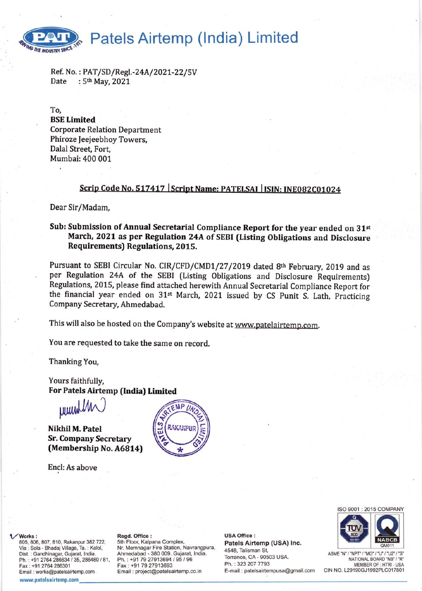# Patels Airtemp (India) Limited

Ref. No. : PAT/SD/Regl.-24A/2021-22/5V<br>Date : 5<sup>th</sup> May, 2021

To, BSE Limited Corporate Relation Department Phiroze Jeejeebhoy Towers, Dalal Street, Fort, Mumbai: 400 001

## Scrip Code No. 517417 | Script Name: PATELSAI | ISIN: INE082C01024

Dear Sir/Madam,

THE INDUSTRY SINCE

### Sub: Submission of Annual Secretarial Compliance Report for the year ended on 31st March, 2O2l as per Regulation 24A of SEBI (Listing Obligations and Disclosure Requirements) Regulations, 2015.

Pursuant to SEBI Circular No. CIR/CFD/CMD1/27/2019 dated 8th February, 2019 and as per Regulation 24A of the SEBI (Listing Obligations and Disclosure Requirements) Regulations, 2015, please find attached herewith Annual Secretarial Compliance Report for the financial year ended on 31<sup>st</sup> March, 2021 issued by CS Punit S. Lath, Practicing Company Secretary, Ahmedabad.

This will also be hosted on the Company's website at www.patelairtemp.com.

You are requested to take the same on record.

Thanking You,

Yours faithfully, For Patels Airtemp (India) Limited

purrth

Nikhil M. Patel Sr. Company Secretary (Membership No. A6814)

Encl: As above





ASME "N" / "NPT" / "MO" / "U" / "U2" / "S' NATIONAL BOARD'NB' /'R' MEMBER OF : HTRI - USA CIN NO. L29190GJ1992PLC017801

#### Works:

805, 806, 807, 810, Rakanpur 382 722, Via : Sola - Bhadaj Village, Ta. : Kalol, Dist. : Gandhinagar, Gujarat, lndia. Ph.: +91 2764 286634 / 35, 286480 / 81, Fax: +91 2764286301 Email : works@patelsairtemp.com

www.patelsairtemp.com

### Regd. Office :

Sth Floor, Kalpana Complex, Nr. Memnagar Fire Station, Navrangpura, Ahmedabad - 380 009. Gujarat, lndia. Ph.: +91 79 27913694 / 95 / 96 Fax: +91 7927913693 Email : project@patelsairtemp.co. in

USA Office : Patels Airtemp (USA) lnc. 4548, Talisman St, Torrance, CA - 90503 USA. Ph. : 323 2O7 7793 E-mail : patelsairtempusa@gmail.com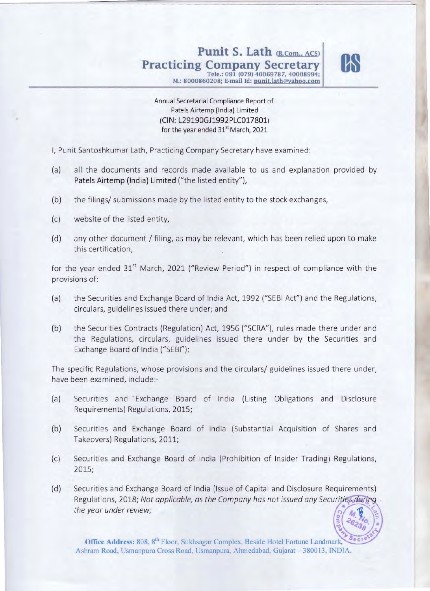## Punit S. Lath (B.Com., ACS) **Practicing Company Secretary by**



**Tele.: 091 (079) 40069787,40008994; M.: 8000860208; E·mail Id: punit.lath@Yahoo.com** 

Annual Secretarial Compliance Report of Patels Airtemp (India) Limited (ClN : L29190GJ1992PLC017801) for the year ended 31<sup>st</sup> March, 2021

I, Punit Santoshkumar Lath, Practicing Company Secretary have examined:

- (a) all the documents and records made available to us and explanation provided by Patels Airtemp (India) Limited ("the listed entity"),
- (b) the filings/ submissions made by the listed entity to the stock exchanges,
- (c) website of the listed entity,
- (d) any other document / filing, as may be relevant, which has been relied upon to make this certification,

for the year ended  $31<sup>st</sup>$  March, 2021 ("Review Period") in respect of compliance with the provisions of:

- (a) the Securities and Exchange Board of India Act, 1992 ("SEBI Act") and the Regulations, circulars, guidelines issued there under; and
- (b) the Securities Contracts (Regulation) Act, 1956 ("SCRA"), rules made there under and the Regulations, circulars, guidelines issued there under by the Securities and Exchange Board of India ("SEBI");

The specifrc Regulations, whose provisions and the circulars/ guidelines issued there under, have been examined, include:

- (a) Securities and Exchange Board of India (Listing Obligations and Disclosure Requirements) Regulations, 2015;
- (b) Securities and Exchange Board of India (Substantial Acquisition of Shares and Takeovers) Regulations, 2011;
- (c) Securities and Exchange Board of India (Prohibition of Insider Trading) Regulations, 2015;
- $(d)$ Securities and Exchange Board of India (Issue of Capital and Disclosure Requirements) Regulations, 2018; Not applicable, as the Company has not issued any Securities during the year under review;

Office Address: 808, 8<sup>th</sup> Floor, Sukhsagar Complex, Beside Hotel Fortune Landmark, Ashram Road, Usmanpura Cross Road, Usmanpura, Ahmedabad, Gujarat - 380013, INDIA.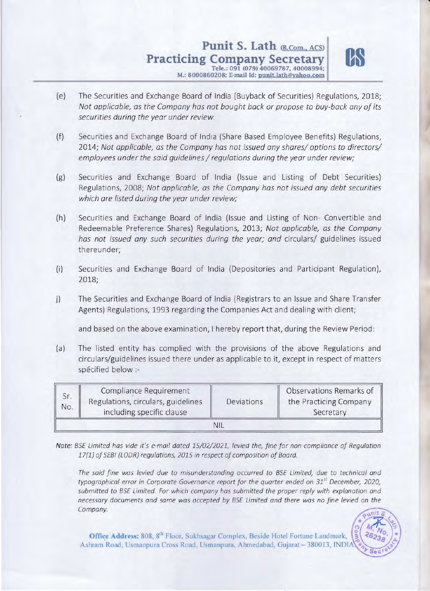## **Punit S. Lath (B.Com., ACS) Practicing Company Secretary** Tele.: 091 (079) 40069787,40008994;



 $\mathbb{R}$ .

M.: 8000860208; E-mail Id: punit.lath@yahoo.com

- (e) The Securities and Exchange Board of India (Buyback of Securities) Regulations, 2018; *Not applicable, as the Company has not bought back* or *propose to buy-back any of its securities during the year under review.*
- (f) Securities and Exchange Board of India (Share Based Employee Benefits) Regulations, *2014; Not applicable, as the Company has not issued any shares/ options to directors/ employees under the said guidelines* / *regulations during the year under review;*
- (g) Securities and Exchange Board of India (Issue and Listing of Debt Securities) Regulations, 2008; *Not applicable, as the Company has not issued any debt securities which are listed during the year under review;*
- (h) Securities and Exchange Board of India (Issue and Listing of Non- Convertible and Redeemable Preference Shares) Regulations, 2013; *Not applicable, as the Company has not issued any such securities during the year; and* circulars/ guidelines issued thereunder;
- (i) Securities and Exchange Board of India (Depositories and Participant Regulation), 2018;
- j) The Securities and Exchange Board of India (Registrars to an Issue and Share Transfer Agents) Regulations, 1993 regarding the Companies Act and dealing with client;

and based on the above examination, I hereby report that, during the Review Period:

(a) The listed entity has complied with the provisions of the above Regulations and circulars/guidelines issued there under as applicable to it, except in respect of matters spécified below :-

| No. | Compliance Requirement<br>Regulations, circulars, guidelines<br>including specific clause | Deviations | Observations Remarks of<br>the Practicing Company<br>Secretary |  |  |  |
|-----|-------------------------------------------------------------------------------------------|------------|----------------------------------------------------------------|--|--|--|
|     |                                                                                           |            |                                                                |  |  |  |

Note: BSE Limited has vide it's e-mail dated 15/02/2021, levied the, fine for non-compliance of Regulation 17(1) of SEBI (LODR) regulations, 2015 in respect of composition of Board.

The said fine was levied due to misunderstanding occurred to BSE Limited, due to technical and typographical error in Corporate Governance report for the quarter ended on 31*st* December, 2020, submitted to BSE Limited. For which company has submitted the proper reply with explanation and necessary documents and same was accepted by BSE Limited and there was no fine levied on the Company.